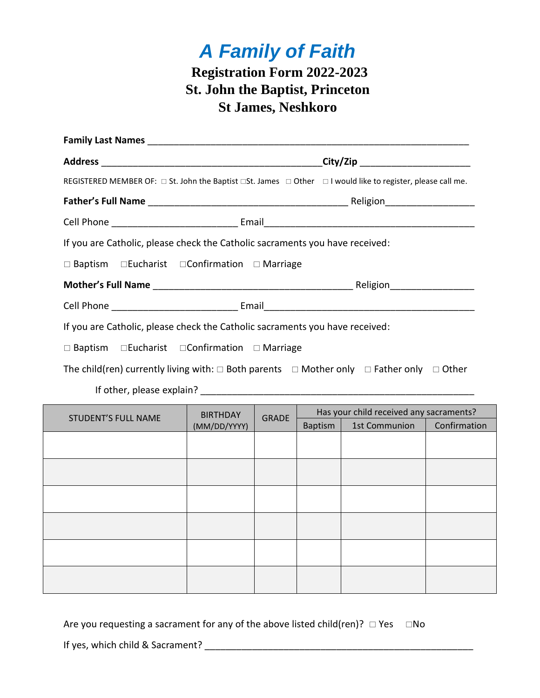## *A Family of Faith* **Registration Form 2022-2023 St. John the Baptist, Princeton St James, Neshkoro**

|                                                                                                                                  |  | City/Zip ______________________                                     |  |  |  |
|----------------------------------------------------------------------------------------------------------------------------------|--|---------------------------------------------------------------------|--|--|--|
| REGISTERED MEMBER OF: $\Box$ St. John the Baptist $\Box$ St. James $\Box$ Other $\Box$ I would like to register, please call me. |  |                                                                     |  |  |  |
|                                                                                                                                  |  |                                                                     |  |  |  |
|                                                                                                                                  |  |                                                                     |  |  |  |
| If you are Catholic, please check the Catholic sacraments you have received:                                                     |  |                                                                     |  |  |  |
| $\Box$ Baptism $\Box$ Eucharist $\Box$ Confirmation $\Box$ Marriage                                                              |  |                                                                     |  |  |  |
|                                                                                                                                  |  |                                                                     |  |  |  |
|                                                                                                                                  |  |                                                                     |  |  |  |
| If you are Catholic, please check the Catholic sacraments you have received:                                                     |  |                                                                     |  |  |  |
|                                                                                                                                  |  | $\Box$ Baptism $\Box$ Eucharist $\Box$ Confirmation $\Box$ Marriage |  |  |  |

The child(ren) currently living with:  $\Box$  Both parents  $\Box$  Mother only  $\Box$  Father only  $\Box$  Other

If other, please explain? \_\_\_\_\_\_\_\_\_\_\_\_\_\_\_\_\_\_\_\_\_\_\_\_\_\_\_\_\_\_\_\_\_\_\_\_\_\_\_\_\_\_\_\_\_\_\_\_\_\_\_\_

| <b>STUDENT'S FULL NAME</b> | <b>BIRTHDAY</b><br>(MM/DD/YYYY) | <b>GRADE</b> | Has your child received any sacraments? |               |              |
|----------------------------|---------------------------------|--------------|-----------------------------------------|---------------|--------------|
|                            |                                 |              | <b>Baptism</b>                          | 1st Communion | Confirmation |
|                            |                                 |              |                                         |               |              |
|                            |                                 |              |                                         |               |              |
|                            |                                 |              |                                         |               |              |
|                            |                                 |              |                                         |               |              |
|                            |                                 |              |                                         |               |              |
|                            |                                 |              |                                         |               |              |
|                            |                                 |              |                                         |               |              |
|                            |                                 |              |                                         |               |              |
|                            |                                 |              |                                         |               |              |
|                            |                                 |              |                                         |               |              |
|                            |                                 |              |                                         |               |              |
|                            |                                 |              |                                         |               |              |

Are you requesting a sacrament for any of the above listed child(ren)?  $\Box$  Yes  $\Box$  No

If yes, which child & Sacrament? **Example 2** and the same of the same of the same of the same of the same of the same of the same of the same of the same of the same of the same of the same of the same of the same of the s